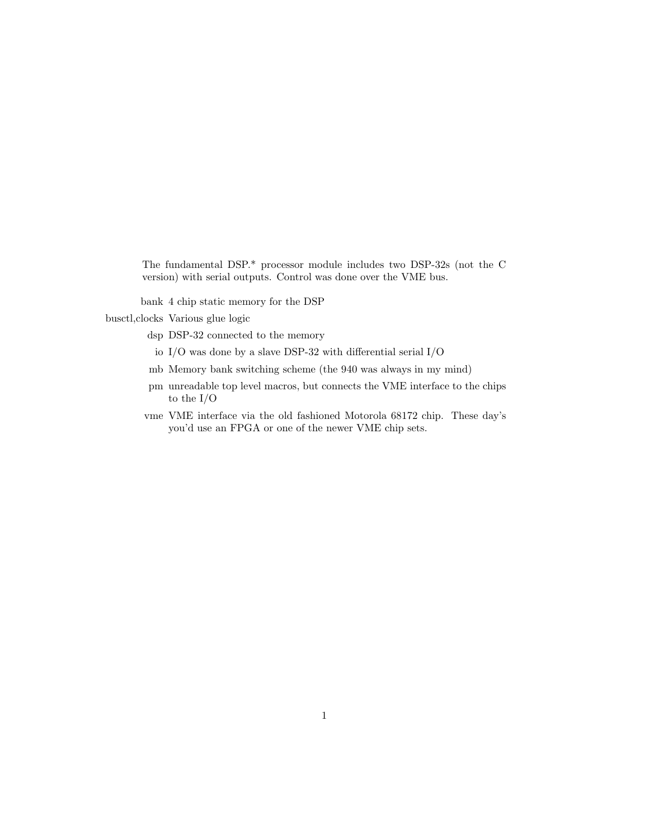The fundamental DSP.\* processor module includes two DSP-32s (not the C version) with serial outputs. Control was done over the VME bus.

bank 4 chip static memory for the DSP

busctl,clocks Various glue logic

- dsp DSP-32 connected to the memory
	- io I/O was done by a slave DSP-32 with differential serial I/O
- mb Memory bank switching scheme (the 940 was always in my mind)
- pm unreadable top level macros, but connects the VME interface to the chips to the I/O
- vme VME interface via the old fashioned Motorola 68172 chip. These day's you'd use an FPGA or one of the newer VME chip sets.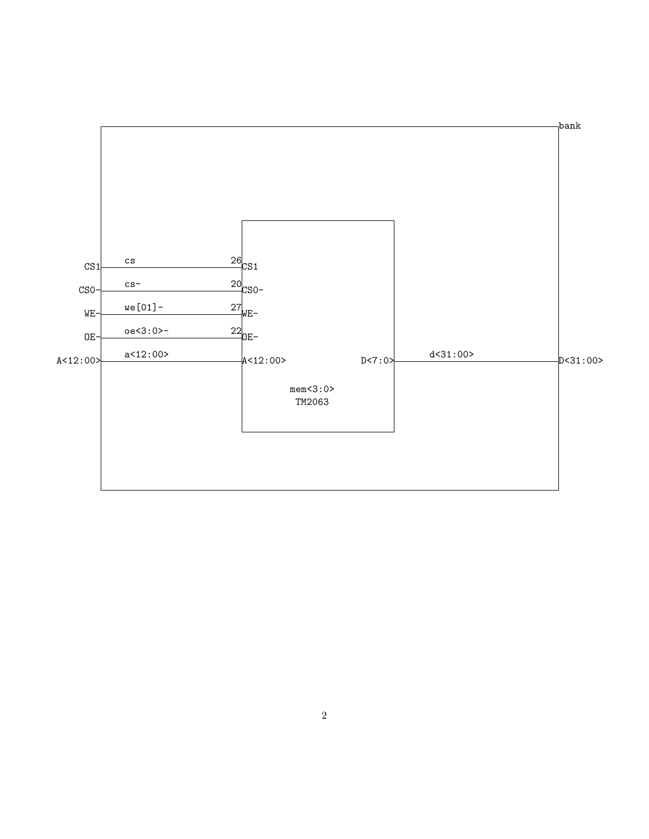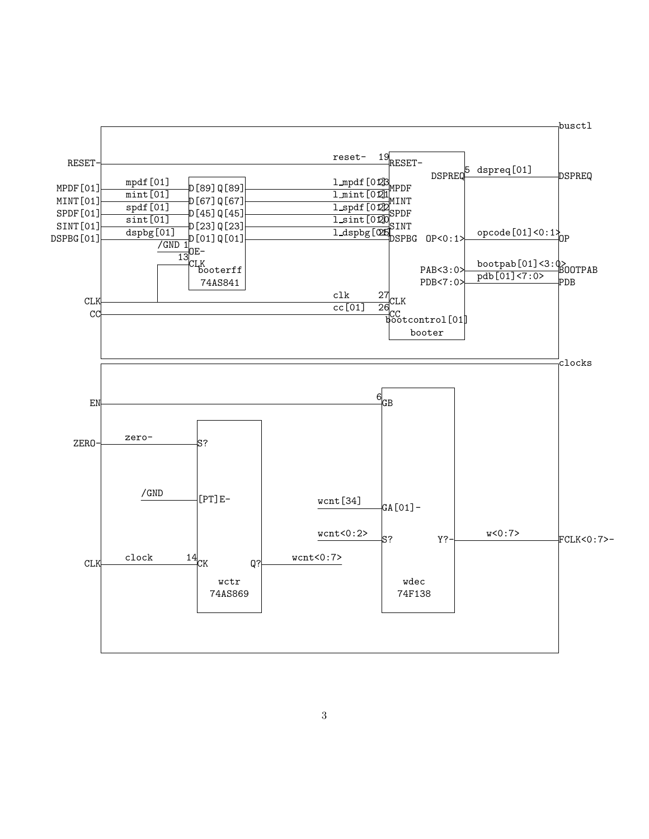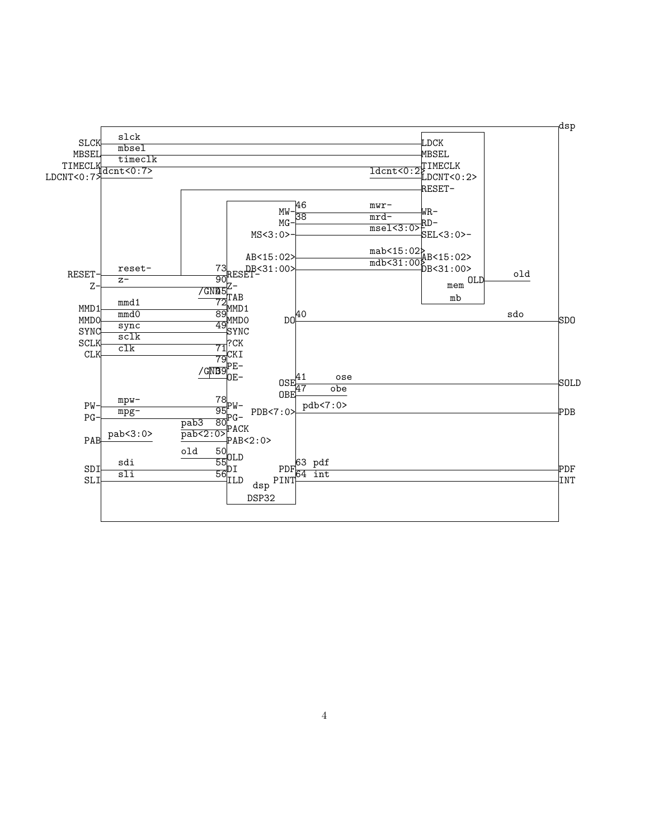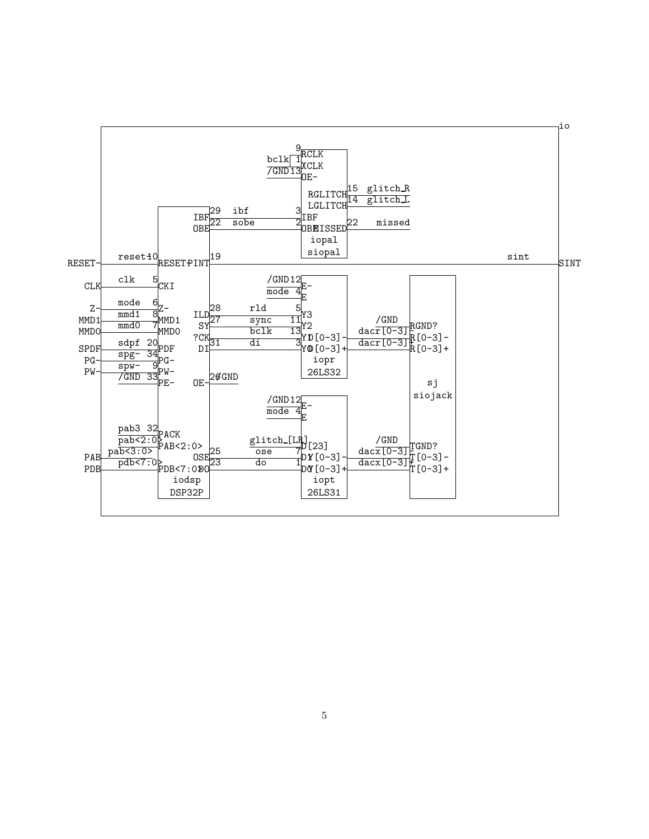

5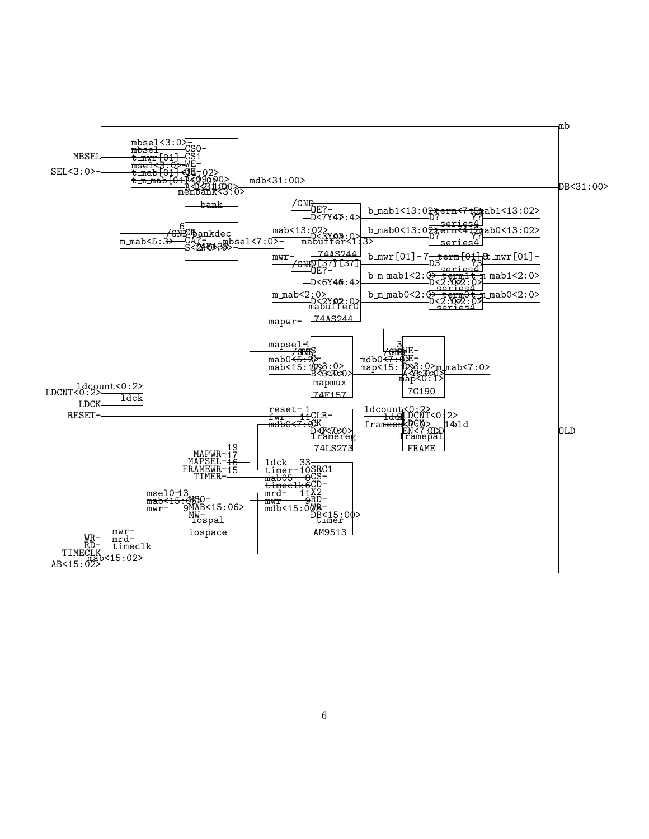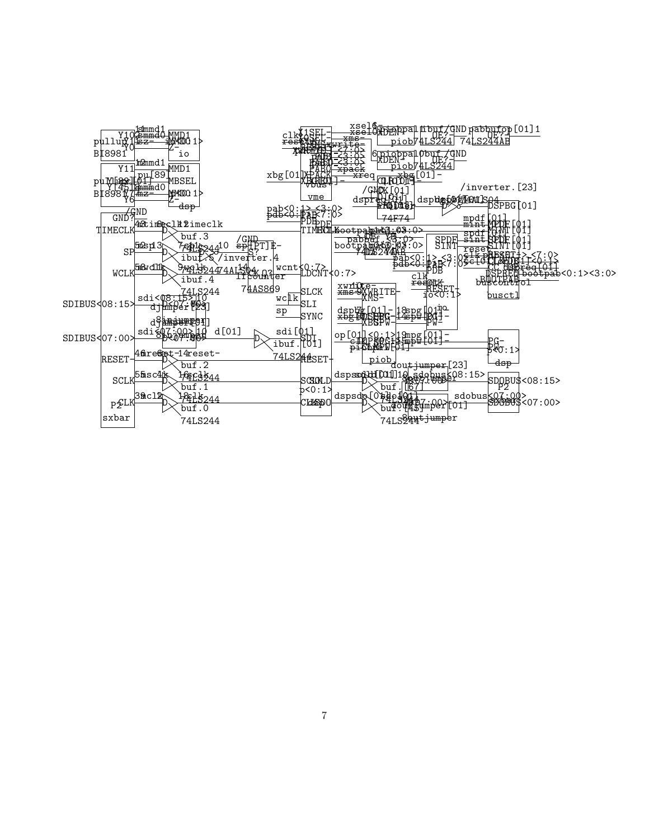